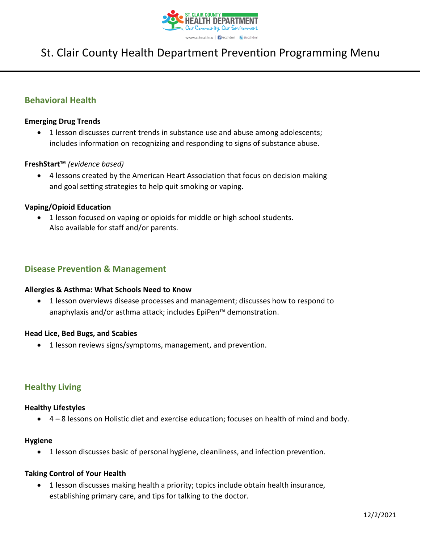

# St. Clair County Health Department Prevention Programming Menu

# **Behavioral Health**

#### **Emerging Drug Trends**

• 1 lesson discusses current trends in substance use and abuse among adolescents; includes information on recognizing and responding to signs of substance abuse.

## **FreshStart™** *(evidence based)*

• 4 lessons created by the American Heart Association that focus on decision making and goal setting strategies to help quit smoking or vaping.

## **Vaping/Opioid Education**

• 1 lesson focused on vaping or opioids for middle or high school students. Also available for staff and/or parents.

# **Disease Prevention & Management**

#### **Allergies & Asthma: What Schools Need to Know**

• 1 lesson overviews disease processes and management; discusses how to respond to anaphylaxis and/or asthma attack; includes EpiPen™ demonstration.

#### **Head Lice, Bed Bugs, and Scabies**

• 1 lesson reviews signs/symptoms, management, and prevention.

# **Healthy Living**

#### **Healthy Lifestyles**

• 4 – 8 lessons on Holistic diet and exercise education; focuses on health of mind and body.

#### **Hygiene**

• 1 lesson discusses basic of personal hygiene, cleanliness, and infection prevention.

#### **Taking Control of Your Health**

• 1 lesson discusses making health a priority; topics include obtain health insurance, establishing primary care, and tips for talking to the doctor.